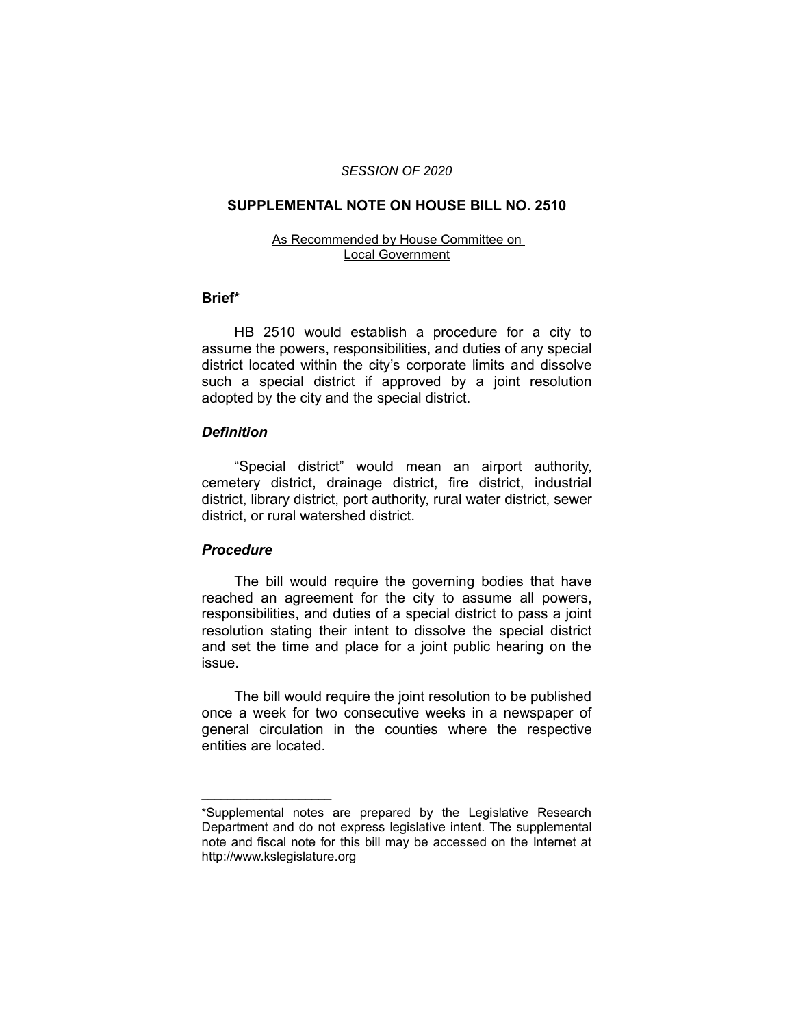### *SESSION OF 2020*

#### **SUPPLEMENTAL NOTE ON HOUSE BILL NO. 2510**

#### As Recommended by House Committee on Local Government

### **Brief\***

HB 2510 would establish a procedure for a city to assume the powers, responsibilities, and duties of any special district located within the city's corporate limits and dissolve such a special district if approved by a joint resolution adopted by the city and the special district.

## *Definition*

"Special district" would mean an airport authority, cemetery district, drainage district, fire district, industrial district, library district, port authority, rural water district, sewer district, or rural watershed district.

# *Procedure*

 $\overline{\phantom{a}}$  , where  $\overline{\phantom{a}}$  , where  $\overline{\phantom{a}}$ 

The bill would require the governing bodies that have reached an agreement for the city to assume all powers, responsibilities, and duties of a special district to pass a joint resolution stating their intent to dissolve the special district and set the time and place for a joint public hearing on the issue.

The bill would require the joint resolution to be published once a week for two consecutive weeks in a newspaper of general circulation in the counties where the respective entities are located.

<sup>\*</sup>Supplemental notes are prepared by the Legislative Research Department and do not express legislative intent. The supplemental note and fiscal note for this bill may be accessed on the Internet at http://www.kslegislature.org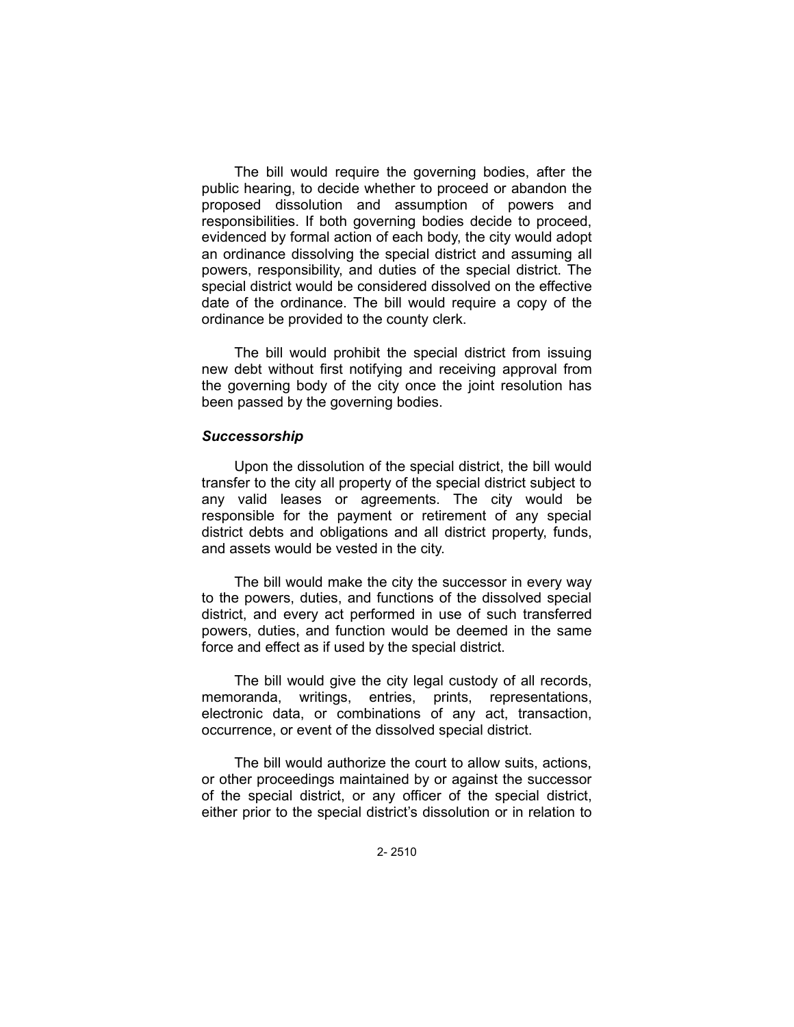The bill would require the governing bodies, after the public hearing, to decide whether to proceed or abandon the proposed dissolution and assumption of powers and responsibilities. If both governing bodies decide to proceed, evidenced by formal action of each body, the city would adopt an ordinance dissolving the special district and assuming all powers, responsibility, and duties of the special district. The special district would be considered dissolved on the effective date of the ordinance. The bill would require a copy of the ordinance be provided to the county clerk.

The bill would prohibit the special district from issuing new debt without first notifying and receiving approval from the governing body of the city once the joint resolution has been passed by the governing bodies.

## *Successorship*

Upon the dissolution of the special district, the bill would transfer to the city all property of the special district subject to any valid leases or agreements. The city would be responsible for the payment or retirement of any special district debts and obligations and all district property, funds, and assets would be vested in the city.

The bill would make the city the successor in every way to the powers, duties, and functions of the dissolved special district, and every act performed in use of such transferred powers, duties, and function would be deemed in the same force and effect as if used by the special district.

The bill would give the city legal custody of all records, memoranda, writings, entries, prints, representations, electronic data, or combinations of any act, transaction, occurrence, or event of the dissolved special district.

The bill would authorize the court to allow suits, actions, or other proceedings maintained by or against the successor of the special district, or any officer of the special district, either prior to the special district's dissolution or in relation to